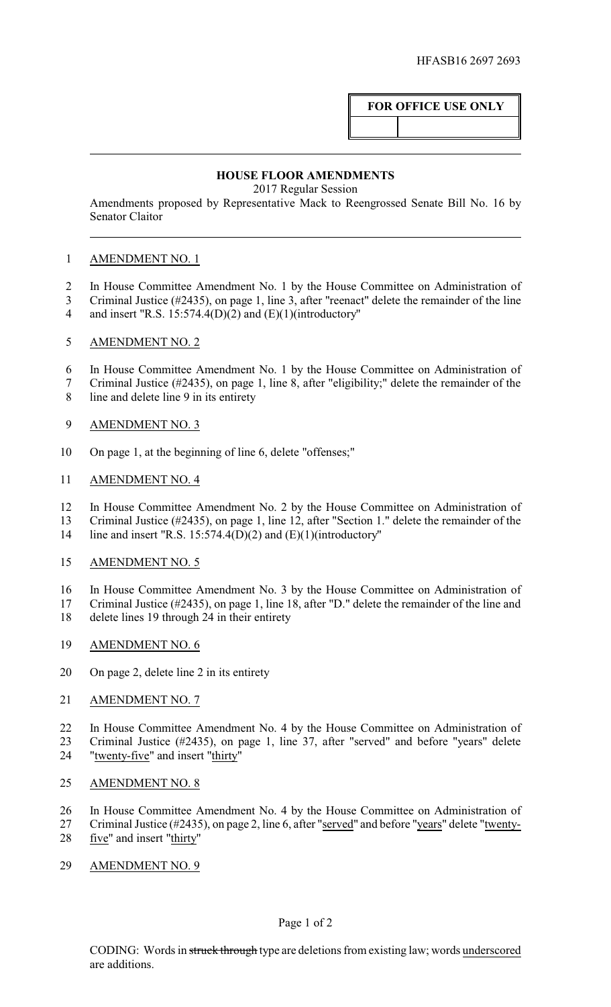## **FOR OFFICE USE ONLY**

## **HOUSE FLOOR AMENDMENTS**

2017 Regular Session

Amendments proposed by Representative Mack to Reengrossed Senate Bill No. 16 by Senator Claitor

## AMENDMENT NO. 1

- In House Committee Amendment No. 1 by the House Committee on Administration of
- Criminal Justice (#2435), on page 1, line 3, after "reenact" delete the remainder of the line
- and insert "R.S. 15:574.4(D)(2) and (E)(1)(introductory"
- AMENDMENT NO. 2
- In House Committee Amendment No. 1 by the House Committee on Administration of
- Criminal Justice (#2435), on page 1, line 8, after "eligibility;" delete the remainder of the
- line and delete line 9 in its entirety
- AMENDMENT NO. 3
- On page 1, at the beginning of line 6, delete "offenses;"
- AMENDMENT NO. 4
- In House Committee Amendment No. 2 by the House Committee on Administration of
- Criminal Justice (#2435), on page 1, line 12, after "Section 1." delete the remainder of the
- line and insert "R.S. 15:574.4(D)(2) and (E)(1)(introductory"
- AMENDMENT NO. 5
- In House Committee Amendment No. 3 by the House Committee on Administration of
- Criminal Justice (#2435), on page 1, line 18, after "D." delete the remainder of the line and delete lines 19 through 24 in their entirety
- AMENDMENT NO. 6
- On page 2, delete line 2 in its entirety
- 21 AMENDMENT NO. 7

 In House Committee Amendment No. 4 by the House Committee on Administration of Criminal Justice (#2435), on page 1, line 37, after "served" and before "years" delete "twenty-five" and insert "thirty"

- AMENDMENT NO. 8
- In House Committee Amendment No. 4 by the House Committee on Administration of
- Criminal Justice (#2435), on page 2, line 6, after "served" and before "years" delete "twenty-five" and insert "thirty"
- AMENDMENT NO. 9